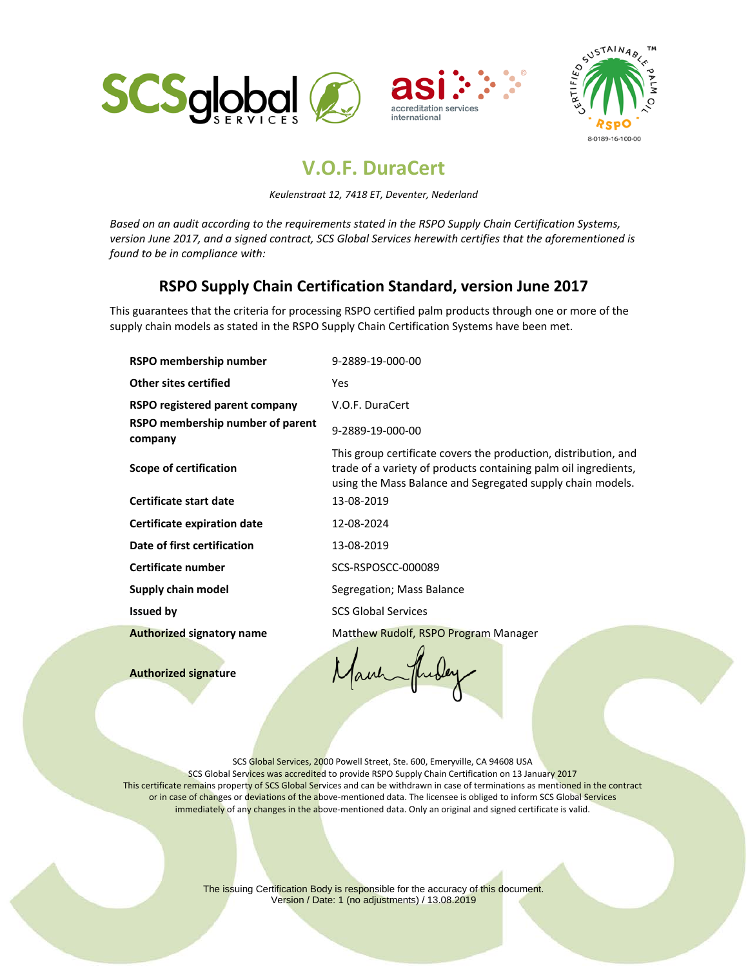





## **V.O.F. DuraCert**

*Keulenstraat 12, 7418 ET, Deventer, Nederland*

*Based on an audit according to the requirements stated in the RSPO Supply Chain Certification Systems, version June 2017, and a signed contract, SCS Global Services herewith certifies that the aforementioned is found to be in compliance with:*

## **RSPO Supply Chain Certification Standard, version June 2017**

This guarantees that the criteria for processing RSPO certified palm products through one or more of the supply chain models as stated in the RSPO Supply Chain Certification Systems have been met.

| RSPO membership number                      | 9-2889-19-000-00                                                                                                                                                                                 |
|---------------------------------------------|--------------------------------------------------------------------------------------------------------------------------------------------------------------------------------------------------|
| <b>Other sites certified</b>                | Yes                                                                                                                                                                                              |
| RSPO registered parent company              | V.O.F. DuraCert                                                                                                                                                                                  |
| RSPO membership number of parent<br>company | 9-2889-19-000-00                                                                                                                                                                                 |
| Scope of certification                      | This group certificate covers the production, distribution, and<br>trade of a variety of products containing palm oil ingredients,<br>using the Mass Balance and Segregated supply chain models. |
| Certificate start date                      | 13-08-2019                                                                                                                                                                                       |
| Certificate expiration date                 | 12-08-2024                                                                                                                                                                                       |
| Date of first certification                 | 13-08-2019                                                                                                                                                                                       |
| Certificate number                          | SCS-RSPOSCC-000089                                                                                                                                                                               |
| Supply chain model                          | Segregation; Mass Balance                                                                                                                                                                        |
| <b>Issued by</b>                            | <b>SCS Global Services</b>                                                                                                                                                                       |
| <b>Authorized signatory name</b>            | Matthew Rudolf, RSPO Program Manager                                                                                                                                                             |
|                                             |                                                                                                                                                                                                  |

**Authorized signature** 

Jauh

SCS Global Services, 2000 Powell Street, Ste. 600, Emeryville, CA 94608 USA SCS Global Services was accredited to provide RSPO Supply Chain Certification on 13 January 2017 This certificate remains property of SCS Global Services and can be withdrawn in case of terminations as mentioned in the contract or in case of changes or deviations of the above-mentioned data. The licensee is obliged to inform SCS Global Services immediately of any changes in the above-mentioned data. Only an original and signed certificate is valid.

> The issuing Certification Body is responsible for the accuracy of this document. Version / Date: 1 (no adjustments) / 13.08.2019